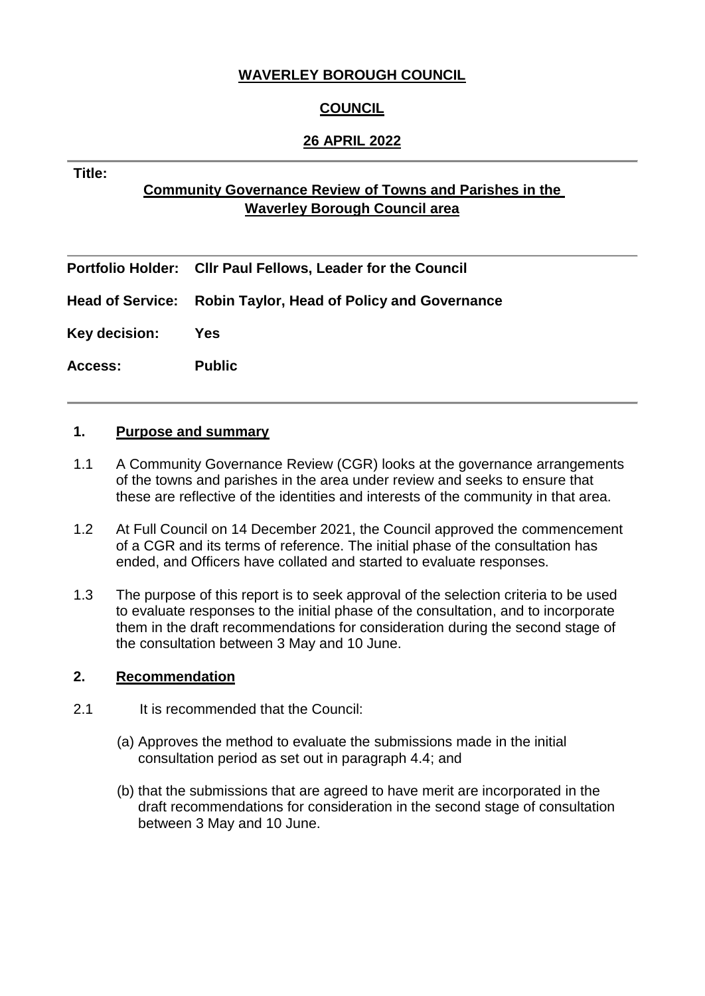# **WAVERLEY BOROUGH COUNCIL**

# **COUNCIL**

# **26 APRIL 2022**

#### **Title:**

# **Community Governance Review of Towns and Parishes in the Waverley Borough Council area**

|                | Portfolio Holder: Cllr Paul Fellows, Leader for the Council  |  |
|----------------|--------------------------------------------------------------|--|
|                | Head of Service: Robin Taylor, Head of Policy and Governance |  |
| Key decision:  | Yes                                                          |  |
| <b>Access:</b> | <b>Public</b>                                                |  |

### **1. Purpose and summary**

- 1.1 A Community Governance Review (CGR) looks at the governance arrangements of the towns and parishes in the area under review and seeks to ensure that these are reflective of the identities and interests of the community in that area.
- 1.2 At Full Council on 14 December 2021, the Council approved the commencement of a CGR and its terms of reference. The initial phase of the consultation has ended, and Officers have collated and started to evaluate responses.
- 1.3 The purpose of this report is to seek approval of the selection criteria to be used to evaluate responses to the initial phase of the consultation, and to incorporate them in the draft recommendations for consideration during the second stage of the consultation between 3 May and 10 June.

### **2. Recommendation**

- 2.1 It is recommended that the Council:
	- (a) Approves the method to evaluate the submissions made in the initial consultation period as set out in paragraph 4.4; and
	- (b) that the submissions that are agreed to have merit are incorporated in the draft recommendations for consideration in the second stage of consultation between 3 May and 10 June.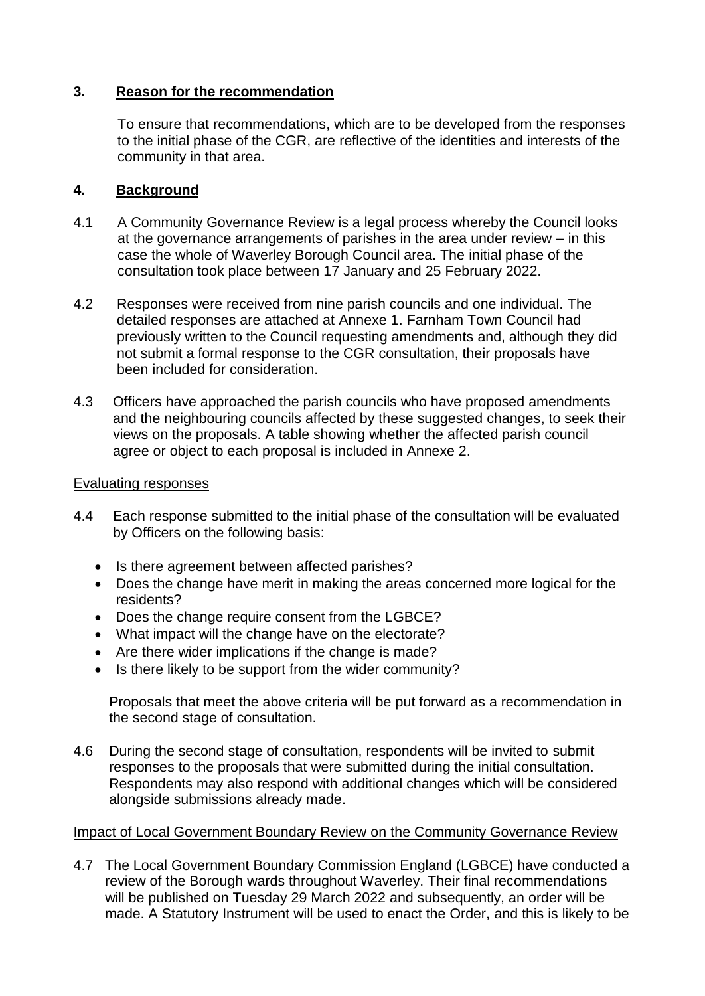# **3. Reason for the recommendation**

To ensure that recommendations, which are to be developed from the responses to the initial phase of the CGR, are reflective of the identities and interests of the community in that area.

# **4. Background**

- 4.1 A Community Governance Review is a legal process whereby the Council looks at the governance arrangements of parishes in the area under review – in this case the whole of Waverley Borough Council area. The initial phase of the consultation took place between 17 January and 25 February 2022.
- 4.2 Responses were received from nine parish councils and one individual. The detailed responses are attached at Annexe 1. Farnham Town Council had previously written to the Council requesting amendments and, although they did not submit a formal response to the CGR consultation, their proposals have been included for consideration.
- 4.3 Officers have approached the parish councils who have proposed amendments and the neighbouring councils affected by these suggested changes, to seek their views on the proposals. A table showing whether the affected parish council agree or object to each proposal is included in Annexe 2.

### Evaluating responses

- 4.4 Each response submitted to the initial phase of the consultation will be evaluated by Officers on the following basis:
	- Is there agreement between affected parishes?
	- Does the change have merit in making the areas concerned more logical for the residents?
	- Does the change require consent from the LGBCE?
	- What impact will the change have on the electorate?
	- Are there wider implications if the change is made?
	- Is there likely to be support from the wider community?

 Proposals that meet the above criteria will be put forward as a recommendation in the second stage of consultation.

4.6 During the second stage of consultation, respondents will be invited to submit responses to the proposals that were submitted during the initial consultation. Respondents may also respond with additional changes which will be considered alongside submissions already made.

### Impact of Local Government Boundary Review on the Community Governance Review

4.7 The Local Government Boundary Commission England (LGBCE) have conducted a review of the Borough wards throughout Waverley. Their final recommendations will be published on Tuesday 29 March 2022 and subsequently, an order will be made. A Statutory Instrument will be used to enact the Order, and this is likely to be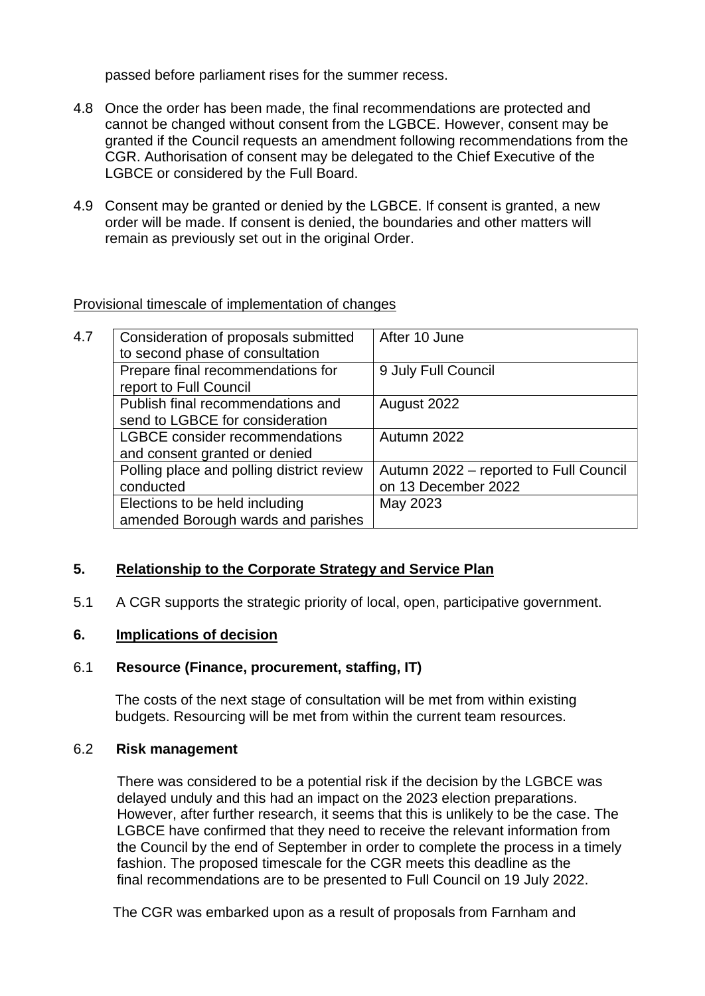passed before parliament rises for the summer recess.

- 4.8 Once the order has been made, the final recommendations are protected and cannot be changed without consent from the LGBCE. However, consent may be granted if the Council requests an amendment following recommendations from the CGR. Authorisation of consent may be delegated to the Chief Executive of the LGBCE or considered by the Full Board.
- 4.9 Consent may be granted or denied by the LGBCE. If consent is granted, a new order will be made. If consent is denied, the boundaries and other matters will remain as previously set out in the original Order.

# Provisional timescale of implementation of changes

| 4.7 | Consideration of proposals submitted<br>to second phase of consultation | After 10 June                                                 |
|-----|-------------------------------------------------------------------------|---------------------------------------------------------------|
|     | Prepare final recommendations for<br>report to Full Council             | 9 July Full Council                                           |
|     | Publish final recommendations and<br>send to LGBCE for consideration    | August 2022                                                   |
|     | <b>LGBCE</b> consider recommendations<br>and consent granted or denied  | Autumn 2022                                                   |
|     | Polling place and polling district review<br>conducted                  | Autumn 2022 – reported to Full Council<br>on 13 December 2022 |
|     | Elections to be held including<br>amended Borough wards and parishes    | May 2023                                                      |

# **5. Relationship to the Corporate Strategy and Service Plan**

5.1 A CGR supports the strategic priority of local, open, participative government.

### **6. Implications of decision**

# 6.1 **Resource (Finance, procurement, staffing, IT)**

The costs of the next stage of consultation will be met from within existing budgets. Resourcing will be met from within the current team resources.

#### 6.2 **Risk management**

 There was considered to be a potential risk if the decision by the LGBCE was delayed unduly and this had an impact on the 2023 election preparations. However, after further research, it seems that this is unlikely to be the case. The LGBCE have confirmed that they need to receive the relevant information from the Council by the end of September in order to complete the process in a timely fashion. The proposed timescale for the CGR meets this deadline as the final recommendations are to be presented to Full Council on 19 July 2022.

The CGR was embarked upon as a result of proposals from Farnham and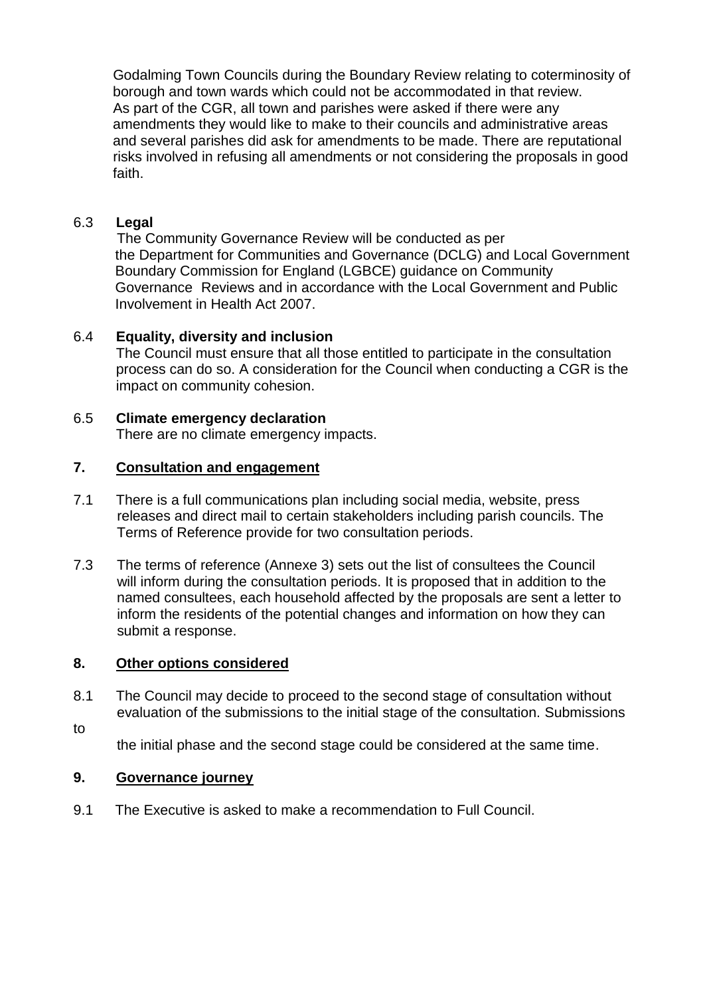Godalming Town Councils during the Boundary Review relating to coterminosity of borough and town wards which could not be accommodated in that review. As part of the CGR, all town and parishes were asked if there were any amendments they would like to make to their councils and administrative areas and several parishes did ask for amendments to be made. There are reputational risks involved in refusing all amendments or not considering the proposals in good faith.

# 6.3 **Legal**

 The Community Governance Review will be conducted as per the Department for Communities and Governance (DCLG) and Local Government Boundary Commission for England (LGBCE) guidance on Community Governance Reviews and in accordance with the Local Government and Public Involvement in Health Act 2007.

# 6.4 **Equality, diversity and inclusion**

The Council must ensure that all those entitled to participate in the consultation process can do so. A consideration for the Council when conducting a CGR is the impact on community cohesion.

# 6.5 **Climate emergency declaration**

There are no climate emergency impacts.

### **7. Consultation and engagement**

- 7.1 There is a full communications plan including social media, website, press releases and direct mail to certain stakeholders including parish councils. The Terms of Reference provide for two consultation periods.
- 7.3 The terms of reference (Annexe 3) sets out the list of consultees the Council will inform during the consultation periods. It is proposed that in addition to the named consultees, each household affected by the proposals are sent a letter to inform the residents of the potential changes and information on how they can submit a response.

### **8. Other options considered**

- 8.1 The Council may decide to proceed to the second stage of consultation without evaluation of the submissions to the initial stage of the consultation. Submissions
- to

the initial phase and the second stage could be considered at the same time.

### **9. Governance journey**

9.1 The Executive is asked to make a recommendation to Full Council.